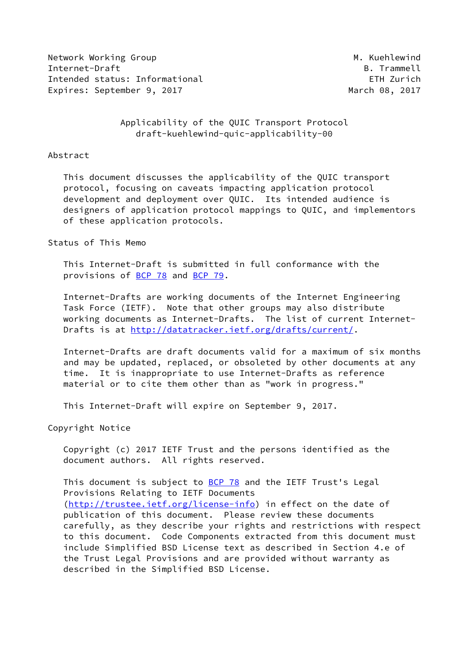Network Working Group Metwork Working Group Metwork Metal Internet-Draft B. Trammell Intended status: Informational ETH Zurich Expires: September 9, 2017 March 08, 2017

## Applicability of the QUIC Transport Protocol draft-kuehlewind-quic-applicability-00

### Abstract

 This document discusses the applicability of the QUIC transport protocol, focusing on caveats impacting application protocol development and deployment over QUIC. Its intended audience is designers of application protocol mappings to QUIC, and implementors of these application protocols.

## Status of This Memo

 This Internet-Draft is submitted in full conformance with the provisions of [BCP 78](https://datatracker.ietf.org/doc/pdf/bcp78) and [BCP 79](https://datatracker.ietf.org/doc/pdf/bcp79).

 Internet-Drafts are working documents of the Internet Engineering Task Force (IETF). Note that other groups may also distribute working documents as Internet-Drafts. The list of current Internet- Drafts is at<http://datatracker.ietf.org/drafts/current/>.

 Internet-Drafts are draft documents valid for a maximum of six months and may be updated, replaced, or obsoleted by other documents at any time. It is inappropriate to use Internet-Drafts as reference material or to cite them other than as "work in progress."

This Internet-Draft will expire on September 9, 2017.

Copyright Notice

 Copyright (c) 2017 IETF Trust and the persons identified as the document authors. All rights reserved.

This document is subject to **[BCP 78](https://datatracker.ietf.org/doc/pdf/bcp78)** and the IETF Trust's Legal Provisions Relating to IETF Documents [\(http://trustee.ietf.org/license-info](http://trustee.ietf.org/license-info)) in effect on the date of publication of this document. Please review these documents carefully, as they describe your rights and restrictions with respect to this document. Code Components extracted from this document must include Simplified BSD License text as described in Section 4.e of the Trust Legal Provisions and are provided without warranty as described in the Simplified BSD License.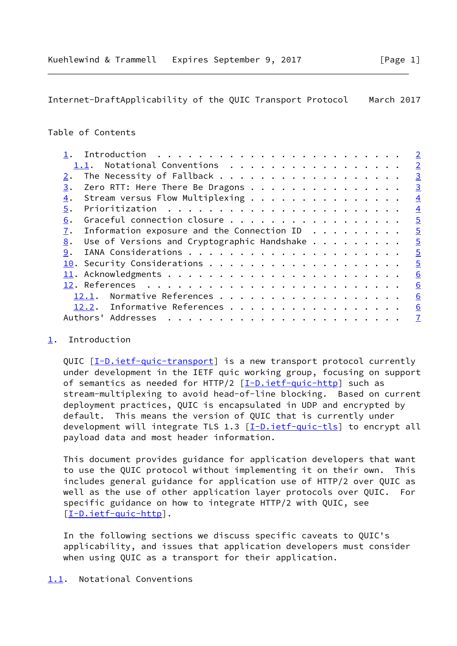<span id="page-1-1"></span>Internet-DraftApplicability of the QUIC Transport Protocol March 2017

# Table of Contents

|  |  |  | $\overline{2}$                                                                                                                                                                                                                                                                                                                          |
|--|--|--|-----------------------------------------------------------------------------------------------------------------------------------------------------------------------------------------------------------------------------------------------------------------------------------------------------------------------------------------|
|  |  |  | $\overline{2}$                                                                                                                                                                                                                                                                                                                          |
|  |  |  | $\overline{3}$                                                                                                                                                                                                                                                                                                                          |
|  |  |  | $\overline{3}$                                                                                                                                                                                                                                                                                                                          |
|  |  |  | $\overline{4}$                                                                                                                                                                                                                                                                                                                          |
|  |  |  | $\overline{4}$                                                                                                                                                                                                                                                                                                                          |
|  |  |  | $\overline{5}$                                                                                                                                                                                                                                                                                                                          |
|  |  |  | $\overline{5}$                                                                                                                                                                                                                                                                                                                          |
|  |  |  | $\overline{5}$                                                                                                                                                                                                                                                                                                                          |
|  |  |  | $\overline{5}$                                                                                                                                                                                                                                                                                                                          |
|  |  |  | $\overline{5}$                                                                                                                                                                                                                                                                                                                          |
|  |  |  | 6                                                                                                                                                                                                                                                                                                                                       |
|  |  |  | 6                                                                                                                                                                                                                                                                                                                                       |
|  |  |  | 6                                                                                                                                                                                                                                                                                                                                       |
|  |  |  | 6                                                                                                                                                                                                                                                                                                                                       |
|  |  |  | $\overline{1}$                                                                                                                                                                                                                                                                                                                          |
|  |  |  | The Necessity of Fallback<br>Zero RTT: Here There Be Dragons<br>Stream versus Flow Multiplexing<br>Graceful connection closure<br>Information exposure and the Connection ID $\cdot \cdot \cdot \cdot \cdot \cdot \cdot$<br>Use of Versions and Cryptographic Handshake $\dots$<br>Normative References<br>12.2. Informative References |

# <span id="page-1-0"></span>[1](#page-1-0). Introduction

QUIC [\[I-D.ietf-quic-transport](#page-6-2)] is a new transport protocol currently under development in the IETF quic working group, focusing on support of semantics as needed for HTTP/2  $[I-D.ietf-quic-http]$  $[I-D.ietf-quic-http]$  such as stream-multiplexing to avoid head-of-line blocking. Based on current deployment practices, QUIC is encapsulated in UDP and encrypted by default. This means the version of QUIC that is currently under development will integrate TLS 1.3  $[I-D.iett-quic-tls]$  to encrypt all payload data and most header information.

 This document provides guidance for application developers that want to use the QUIC protocol without implementing it on their own. This includes general guidance for application use of HTTP/2 over QUIC as well as the use of other application layer protocols over QUIC. For specific guidance on how to integrate HTTP/2 with QUIC, see [\[I-D.ietf-quic-http\]](#page-6-3).

 In the following sections we discuss specific caveats to QUIC's applicability, and issues that application developers must consider when using QUIC as a transport for their application.

#### <span id="page-1-2"></span>[1.1](#page-1-2). Notational Conventions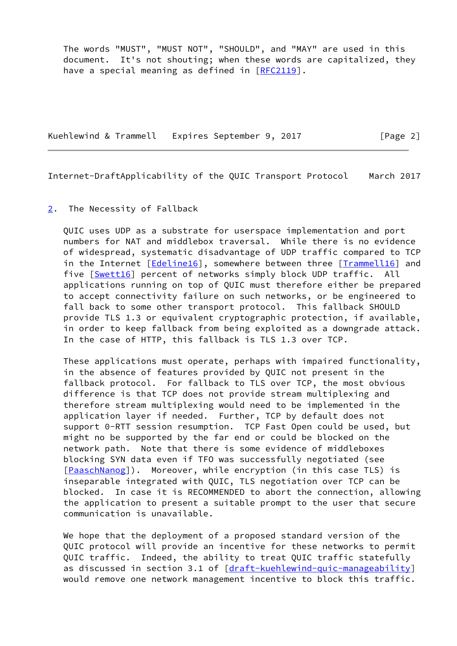The words "MUST", "MUST NOT", "SHOULD", and "MAY" are used in this document. It's not shouting; when these words are capitalized, they have a special meaning as defined in [\[RFC2119](https://datatracker.ietf.org/doc/pdf/rfc2119)].

Kuehlewind & Trammell Expires September 9, 2017 [Page 2]

<span id="page-2-1"></span>Internet-DraftApplicability of the QUIC Transport Protocol March 2017

## <span id="page-2-0"></span>[2](#page-2-0). The Necessity of Fallback

 QUIC uses UDP as a substrate for userspace implementation and port numbers for NAT and middlebox traversal. While there is no evidence of widespread, systematic disadvantage of UDP traffic compared to TCP in the Internet [\[Edeline16](#page-6-5)], somewhere between three [\[Trammell16\]](#page-6-6) and five [\[Swett16](#page-6-7)] percent of networks simply block UDP traffic. All applications running on top of QUIC must therefore either be prepared to accept connectivity failure on such networks, or be engineered to fall back to some other transport protocol. This fallback SHOULD provide TLS 1.3 or equivalent cryptographic protection, if available, in order to keep fallback from being exploited as a downgrade attack. In the case of HTTP, this fallback is TLS 1.3 over TCP.

 These applications must operate, perhaps with impaired functionality, in the absence of features provided by QUIC not present in the fallback protocol. For fallback to TLS over TCP, the most obvious difference is that TCP does not provide stream multiplexing and therefore stream multiplexing would need to be implemented in the application layer if needed. Further, TCP by default does not support 0-RTT session resumption. TCP Fast Open could be used, but might no be supported by the far end or could be blocked on the network path. Note that there is some evidence of middleboxes blocking SYN data even if TFO was successfully negotiated (see [\[PaaschNanog](#page-6-8)]). Moreover, while encryption (in this case TLS) is inseparable integrated with QUIC, TLS negotiation over TCP can be blocked. In case it is RECOMMENDED to abort the connection, allowing the application to present a suitable prompt to the user that secure communication is unavailable.

 We hope that the deployment of a proposed standard version of the QUIC protocol will provide an incentive for these networks to permit QUIC traffic. Indeed, the ability to treat QUIC traffic statefully as discussed in section 3.1 of [\[draft-kuehlewind-quic-manageability](https://datatracker.ietf.org/doc/pdf/draft-kuehlewind-quic-manageability)] would remove one network management incentive to block this traffic.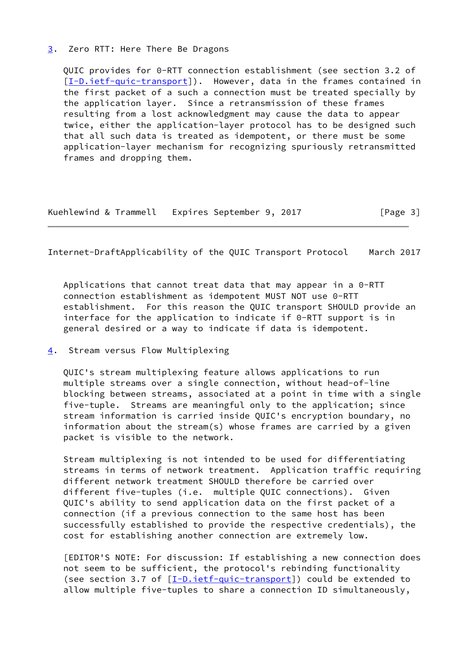### <span id="page-3-0"></span>[3](#page-3-0). Zero RTT: Here There Be Dragons

 QUIC provides for 0-RTT connection establishment (see section 3.2 of [\[I-D.ietf-quic-transport](#page-6-2)]). However, data in the frames contained in the first packet of a such a connection must be treated specially by the application layer. Since a retransmission of these frames resulting from a lost acknowledgment may cause the data to appear twice, either the application-layer protocol has to be designed such that all such data is treated as idempotent, or there must be some application-layer mechanism for recognizing spuriously retransmitted frames and dropping them.

|  | Kuehlewind & Trammell Expires September 9, 2017 | [Page 3] |
|--|-------------------------------------------------|----------|
|--|-------------------------------------------------|----------|

<span id="page-3-2"></span>Internet-DraftApplicability of the QUIC Transport Protocol March 2017

 Applications that cannot treat data that may appear in a 0-RTT connection establishment as idempotent MUST NOT use 0-RTT establishment. For this reason the QUIC transport SHOULD provide an interface for the application to indicate if 0-RTT support is in general desired or a way to indicate if data is idempotent.

<span id="page-3-1"></span>[4](#page-3-1). Stream versus Flow Multiplexing

 QUIC's stream multiplexing feature allows applications to run multiple streams over a single connection, without head-of-line blocking between streams, associated at a point in time with a single five-tuple. Streams are meaningful only to the application; since stream information is carried inside QUIC's encryption boundary, no information about the stream(s) whose frames are carried by a given packet is visible to the network.

 Stream multiplexing is not intended to be used for differentiating streams in terms of network treatment. Application traffic requiring different network treatment SHOULD therefore be carried over different five-tuples (i.e. multiple QUIC connections). Given QUIC's ability to send application data on the first packet of a connection (if a previous connection to the same host has been successfully established to provide the respective credentials), the cost for establishing another connection are extremely low.

 [EDITOR'S NOTE: For discussion: If establishing a new connection does not seem to be sufficient, the protocol's rebinding functionality (see section 3.7 of  $[I-D.ietf-quic-transport])$  $[I-D.ietf-quic-transport])$  could be extended to allow multiple five-tuples to share a connection ID simultaneously,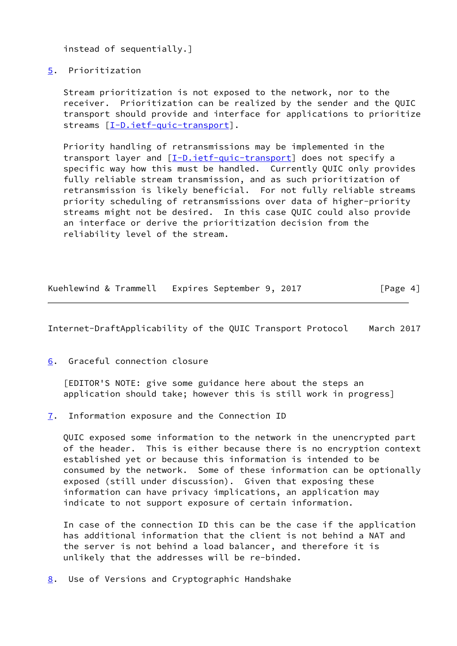instead of sequentially.]

### <span id="page-4-0"></span>[5](#page-4-0). Prioritization

 Stream prioritization is not exposed to the network, nor to the receiver. Prioritization can be realized by the sender and the QUIC transport should provide and interface for applications to prioritize streams [\[I-D.ietf-quic-transport](#page-6-2)].

 Priority handling of retransmissions may be implemented in the transport layer and  $[I-D.iett-quic-transport]$  does not specify a specific way how this must be handled. Currently QUIC only provides fully reliable stream transmission, and as such prioritization of retransmission is likely beneficial. For not fully reliable streams priority scheduling of retransmissions over data of higher-priority streams might not be desired. In this case QUIC could also provide an interface or derive the prioritization decision from the reliability level of the stream.

| Kuehlewind & Trammell | Expires September 9, 2017 | [Page 4] |
|-----------------------|---------------------------|----------|
|                       |                           |          |

<span id="page-4-2"></span>Internet-DraftApplicability of the QUIC Transport Protocol March 2017

<span id="page-4-1"></span>[6](#page-4-1). Graceful connection closure

 [EDITOR'S NOTE: give some guidance here about the steps an application should take; however this is still work in progress]

<span id="page-4-3"></span>[7](#page-4-3). Information exposure and the Connection ID

 QUIC exposed some information to the network in the unencrypted part of the header. This is either because there is no encryption context established yet or because this information is intended to be consumed by the network. Some of these information can be optionally exposed (still under discussion). Given that exposing these information can have privacy implications, an application may indicate to not support exposure of certain information.

 In case of the connection ID this can be the case if the application has additional information that the client is not behind a NAT and the server is not behind a load balancer, and therefore it is unlikely that the addresses will be re-binded.

<span id="page-4-4"></span>[8](#page-4-4). Use of Versions and Cryptographic Handshake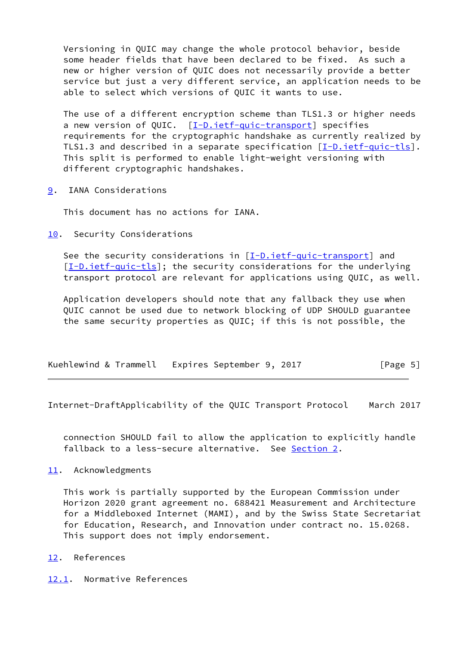Versioning in QUIC may change the whole protocol behavior, beside some header fields that have been declared to be fixed. As such a new or higher version of QUIC does not necessarily provide a better service but just a very different service, an application needs to be able to select which versions of QUIC it wants to use.

 The use of a different encryption scheme than TLS1.3 or higher needs a new version of QUIC. [\[I-D.ietf-quic-transport](#page-6-2)] specifies requirements for the cryptographic handshake as currently realized by TLS1.3 and described in a separate specification [\[I-D.ietf-quic-tls\]](#page-6-4). This split is performed to enable light-weight versioning with different cryptographic handshakes.

<span id="page-5-0"></span>[9](#page-5-0). IANA Considerations

This document has no actions for IANA.

<span id="page-5-1"></span>[10.](#page-5-1) Security Considerations

 See the security considerations in [[I-D.ietf-quic-transport\]](#page-6-2) and  $[I-D.iett-quic-tls]$ ; the security considerations for the underlying transport protocol are relevant for applications using QUIC, as well.

 Application developers should note that any fallback they use when QUIC cannot be used due to network blocking of UDP SHOULD guarantee the same security properties as QUIC; if this is not possible, the

|  | Kuehlewind & Trammell Expires September 9, 2017 | [Page 5] |
|--|-------------------------------------------------|----------|
|--|-------------------------------------------------|----------|

<span id="page-5-3"></span>Internet-DraftApplicability of the QUIC Transport Protocol March 2017

 connection SHOULD fail to allow the application to explicitly handle fallback to a less-secure alternative. See [Section 2.](#page-2-0)

# <span id="page-5-2"></span>[11.](#page-5-2) Acknowledgments

 This work is partially supported by the European Commission under Horizon 2020 grant agreement no. 688421 Measurement and Architecture for a Middleboxed Internet (MAMI), and by the Swiss State Secretariat for Education, Research, and Innovation under contract no. 15.0268. This support does not imply endorsement.

- <span id="page-5-4"></span>[12.](#page-5-4) References
- <span id="page-5-5"></span>[12.1](#page-5-5). Normative References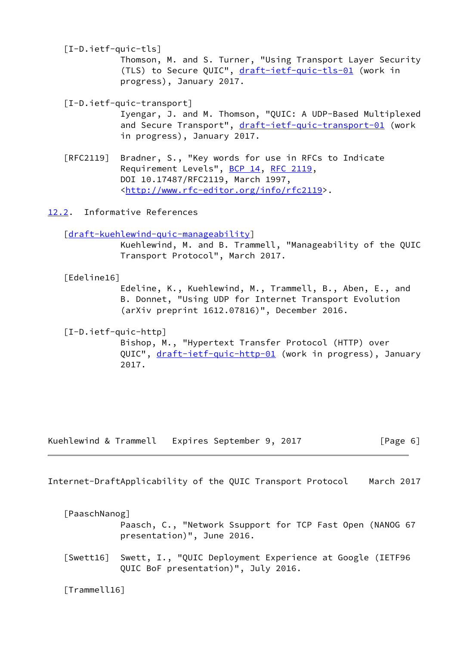<span id="page-6-4"></span>[I-D.ietf-quic-tls]

 Thomson, M. and S. Turner, "Using Transport Layer Security (TLS) to Secure QUIC", [draft-ietf-quic-tls-01](https://datatracker.ietf.org/doc/pdf/draft-ietf-quic-tls-01) (work in progress), January 2017.

<span id="page-6-2"></span>[I-D.ietf-quic-transport]

 Iyengar, J. and M. Thomson, "QUIC: A UDP-Based Multiplexed and Secure Transport", [draft-ietf-quic-transport-01](https://datatracker.ietf.org/doc/pdf/draft-ietf-quic-transport-01) (work in progress), January 2017.

 [RFC2119] Bradner, S., "Key words for use in RFCs to Indicate Requirement Levels", [BCP 14](https://datatracker.ietf.org/doc/pdf/bcp14), [RFC 2119](https://datatracker.ietf.org/doc/pdf/rfc2119), DOI 10.17487/RFC2119, March 1997, <<http://www.rfc-editor.org/info/rfc2119>>.

<span id="page-6-0"></span>[12.2](#page-6-0). Informative References

[\[draft-kuehlewind-quic-manageability](https://datatracker.ietf.org/doc/pdf/draft-kuehlewind-quic-manageability)]

 Kuehlewind, M. and B. Trammell, "Manageability of the QUIC Transport Protocol", March 2017.

<span id="page-6-5"></span>[Edeline16]

 Edeline, K., Kuehlewind, M., Trammell, B., Aben, E., and B. Donnet, "Using UDP for Internet Transport Evolution (arXiv preprint 1612.07816)", December 2016.

<span id="page-6-3"></span>[I-D.ietf-quic-http]

 Bishop, M., "Hypertext Transfer Protocol (HTTP) over QUIC", [draft-ietf-quic-http-01](https://datatracker.ietf.org/doc/pdf/draft-ietf-quic-http-01) (work in progress), January 2017.

Kuehlewind & Trammell Expires September 9, 2017 [Page 6]

<span id="page-6-1"></span>Internet-DraftApplicability of the QUIC Transport Protocol March 2017

<span id="page-6-8"></span>[PaaschNanog]

 Paasch, C., "Network Ssupport for TCP Fast Open (NANOG 67 presentation)", June 2016.

<span id="page-6-7"></span> [Swett16] Swett, I., "QUIC Deployment Experience at Google (IETF96 QUIC BoF presentation)", July 2016.

<span id="page-6-6"></span>[Trammell16]